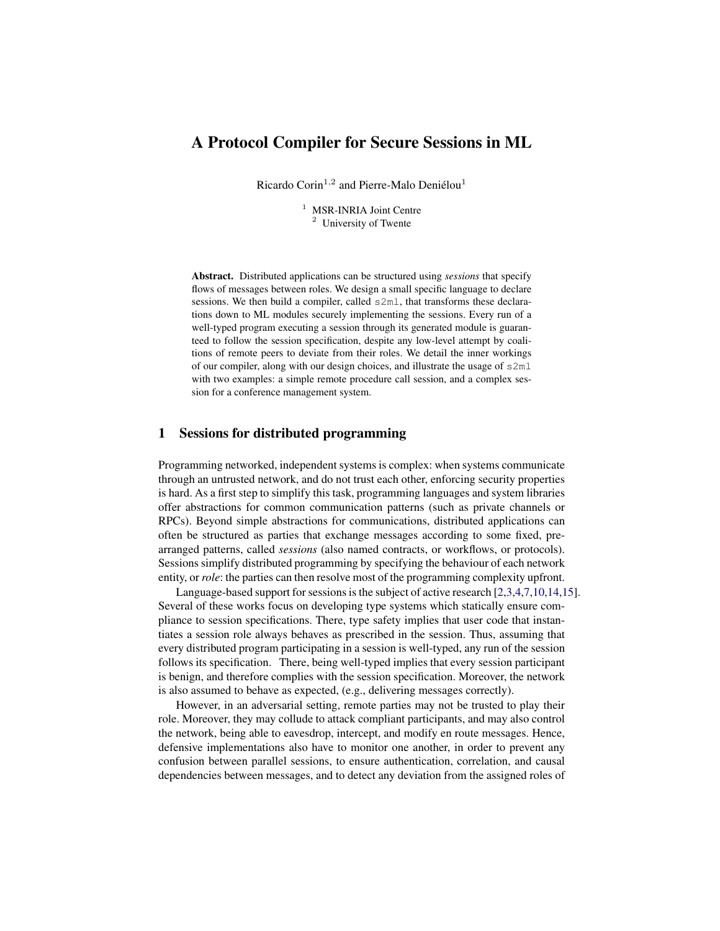# A Protocol Compiler for Secure Sessions in ML

Ricardo Corin<sup>1,2</sup> and Pierre-Malo Deniélou<sup>1</sup>

<sup>1</sup> MSR-INRIA Joint Centre <sup>2</sup> University of Twente

Abstract. Distributed applications can be structured using *sessions* that specify flows of messages between roles. We design a small specific language to declare sessions. We then build a compiler, called s2ml, that transforms these declarations down to ML modules securely implementing the sessions. Every run of a well-typed program executing a session through its generated module is guaranteed to follow the session specification, despite any low-level attempt by coalitions of remote peers to deviate from their roles. We detail the inner workings of our compiler, along with our design choices, and illustrate the usage of s2ml with two examples: a simple remote procedure call session, and a complex session for a conference management system.

### 1 Sessions for distributed programming

Programming networked, independent systems is complex: when systems communicate through an untrusted network, and do not trust each other, enforcing security properties is hard. As a first step to simplify this task, programming languages and system libraries offer abstractions for common communication patterns (such as private channels or RPCs). Beyond simple abstractions for communications, distributed applications can often be structured as parties that exchange messages according to some fixed, prearranged patterns, called *sessions* (also named contracts, or workflows, or protocols). Sessions simplify distributed programming by specifying the behaviour of each network entity, or *role*: the parties can then resolve most of the programming complexity upfront.

Language-based support for sessions is the subject of active research [\[2](#page-15-0)[,3](#page-15-1)[,4,](#page-15-2)[7,](#page-16-0)[10,](#page-16-1)[14,](#page-16-2)[15\]](#page-16-3). Several of these works focus on developing type systems which statically ensure compliance to session specifications. There, type safety implies that user code that instantiates a session role always behaves as prescribed in the session. Thus, assuming that every distributed program participating in a session is well-typed, any run of the session follows its specification. There, being well-typed implies that every session participant is benign, and therefore complies with the session specification. Moreover, the network is also assumed to behave as expected, (e.g., delivering messages correctly).

However, in an adversarial setting, remote parties may not be trusted to play their role. Moreover, they may collude to attack compliant participants, and may also control the network, being able to eavesdrop, intercept, and modify en route messages. Hence, defensive implementations also have to monitor one another, in order to prevent any confusion between parallel sessions, to ensure authentication, correlation, and causal dependencies between messages, and to detect any deviation from the assigned roles of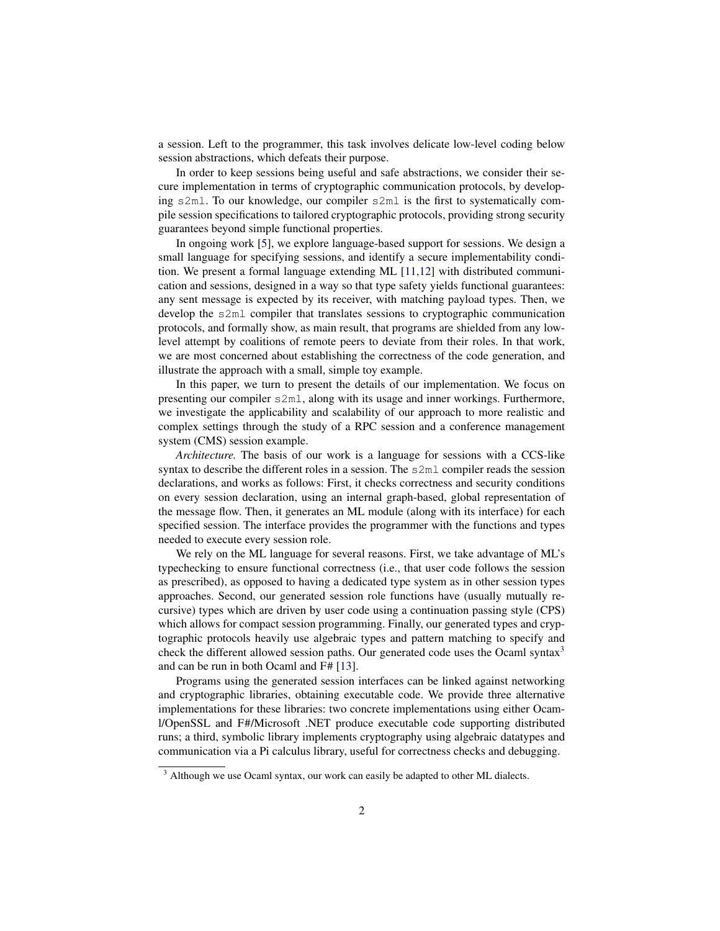a session. Left to the programmer, this task involves delicate low-level coding below session abstractions, which defeats their purpose.

In order to keep sessions being useful and safe abstractions, we consider their secure implementation in terms of cryptographic communication protocols, by developing s2ml. To our knowledge, our compiler s2ml is the first to systematically compile session specifications to tailored cryptographic protocols, providing strong security guarantees beyond simple functional properties.

In ongoing work [\[5\]](#page-16-4), we explore language-based support for sessions. We design a small language for specifying sessions, and identify a secure implementability condition. We present a formal language extending ML [\[11,](#page-16-5)[12\]](#page-16-6) with distributed communication and sessions, designed in a way so that type safety yields functional guarantees: any sent message is expected by its receiver, with matching payload types. Then, we develop the s2ml compiler that translates sessions to cryptographic communication protocols, and formally show, as main result, that programs are shielded from any lowlevel attempt by coalitions of remote peers to deviate from their roles. In that work, we are most concerned about establishing the correctness of the code generation, and illustrate the approach with a small, simple toy example.

In this paper, we turn to present the details of our implementation. We focus on presenting our compiler s2ml, along with its usage and inner workings. Furthermore, we investigate the applicability and scalability of our approach to more realistic and complex settings through the study of a RPC session and a conference management system (CMS) session example.

*Architecture.* The basis of our work is a language for sessions with a CCS-like syntax to describe the different roles in a session. The s2ml compiler reads the session declarations, and works as follows: First, it checks correctness and security conditions on every session declaration, using an internal graph-based, global representation of the message flow. Then, it generates an ML module (along with its interface) for each specified session. The interface provides the programmer with the functions and types needed to execute every session role.

We rely on the ML language for several reasons. First, we take advantage of ML's typechecking to ensure functional correctness (i.e., that user code follows the session as prescribed), as opposed to having a dedicated type system as in other session types approaches. Second, our generated session role functions have (usually mutually recursive) types which are driven by user code using a continuation passing style (CPS) which allows for compact session programming. Finally, our generated types and cryptographic protocols heavily use algebraic types and pattern matching to specify and check the different allowed session paths. Our generated code uses the Ocaml syntax $3$ and can be run in both Ocaml and F# [\[13\]](#page-16-7).

Programs using the generated session interfaces can be linked against networking and cryptographic libraries, obtaining executable code. We provide three alternative implementations for these libraries: two concrete implementations using either Ocaml/OpenSSL and F#/Microsoft .NET produce executable code supporting distributed runs; a third, symbolic library implements cryptography using algebraic datatypes and communication via a Pi calculus library, useful for correctness checks and debugging.

<span id="page-1-0"></span><sup>&</sup>lt;sup>3</sup> Although we use Ocaml syntax, our work can easily be adapted to other ML dialects.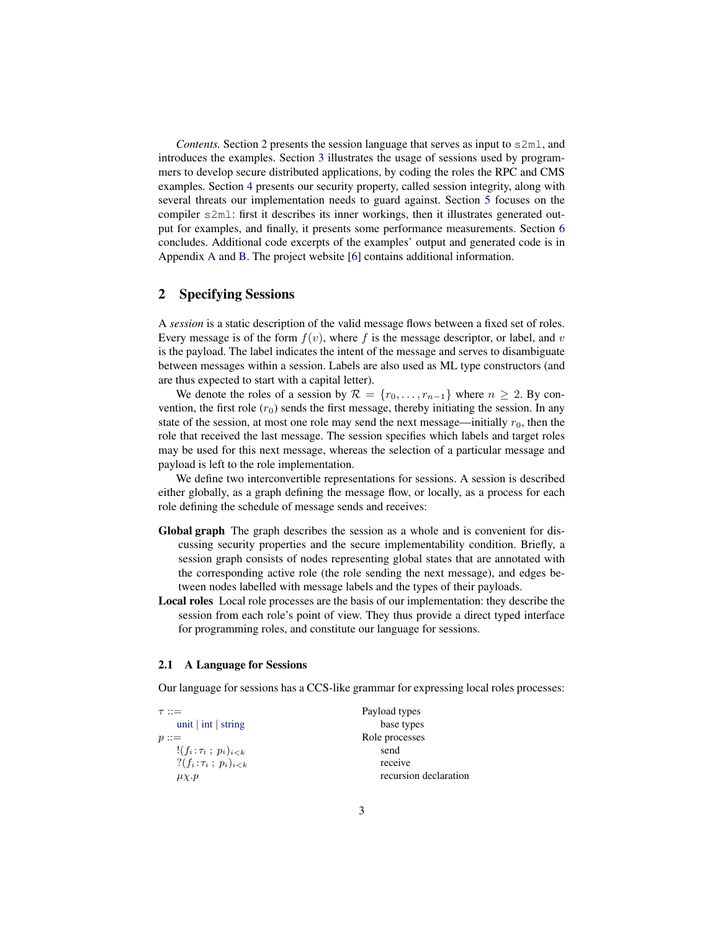*Contents.* Section [2](#page-2-0) presents the session language that serves as input to  $\text{s2ml}$ , and introduces the examples. Section [3](#page-6-0) illustrates the usage of sessions used by programmers to develop secure distributed applications, by coding the roles the RPC and CMS examples. Section [4](#page-8-0) presents our security property, called session integrity, along with several threats our implementation needs to guard against. Section [5](#page-11-0) focuses on the compiler s2ml: first it describes its inner workings, then it illustrates generated output for examples, and finally, it presents some performance measurements. Section [6](#page-15-3) concludes. Additional code excerpts of the examples' output and generated code is in Appendix [A](#page-16-8) and [B.](#page-17-0) The project website [\[6\]](#page-16-9) contains additional information.

### <span id="page-2-0"></span>2 Specifying Sessions

A *session* is a static description of the valid message flows between a fixed set of roles. Every message is of the form  $f(v)$ , where f is the message descriptor, or label, and v is the payload. The label indicates the intent of the message and serves to disambiguate between messages within a session. Labels are also used as ML type constructors (and are thus expected to start with a capital letter).

We denote the roles of a session by  $\mathcal{R} = \{r_0, \ldots, r_{n-1}\}\$  where  $n \geq 2$ . By convention, the first role  $(r_0)$  sends the first message, thereby initiating the session. In any state of the session, at most one role may send the next message—initially  $r_0$ , then the role that received the last message. The session specifies which labels and target roles may be used for this next message, whereas the selection of a particular message and payload is left to the role implementation.

We define two interconvertible representations for sessions. A session is described either globally, as a graph defining the message flow, or locally, as a process for each role defining the schedule of message sends and receives:

- Global graph The graph describes the session as a whole and is convenient for discussing security properties and the secure implementability condition. Briefly, a session graph consists of nodes representing global states that are annotated with the corresponding active role (the role sending the next message), and edges between nodes labelled with message labels and the types of their payloads.
- Local roles Local role processes are the basis of our implementation: they describe the session from each role's point of view. They thus provide a direct typed interface for programming roles, and constitute our language for sessions.

#### 2.1 A Language for Sessions

Our language for sessions has a CCS-like grammar for expressing local roles processes:

| $\tau ::=$                       | Payload types         |  |
|----------------------------------|-----------------------|--|
| unit $\vert$ int $\vert$ string  | base types            |  |
| $p ::=$                          | Role processes        |  |
| $!(f_i:\tau_i ; p_i)_{i < k}]$   | send                  |  |
| $? (f_i : \tau_i ; p_i)_{i < k}$ | receive               |  |
| $\mu\chi.p$                      | recursion declaration |  |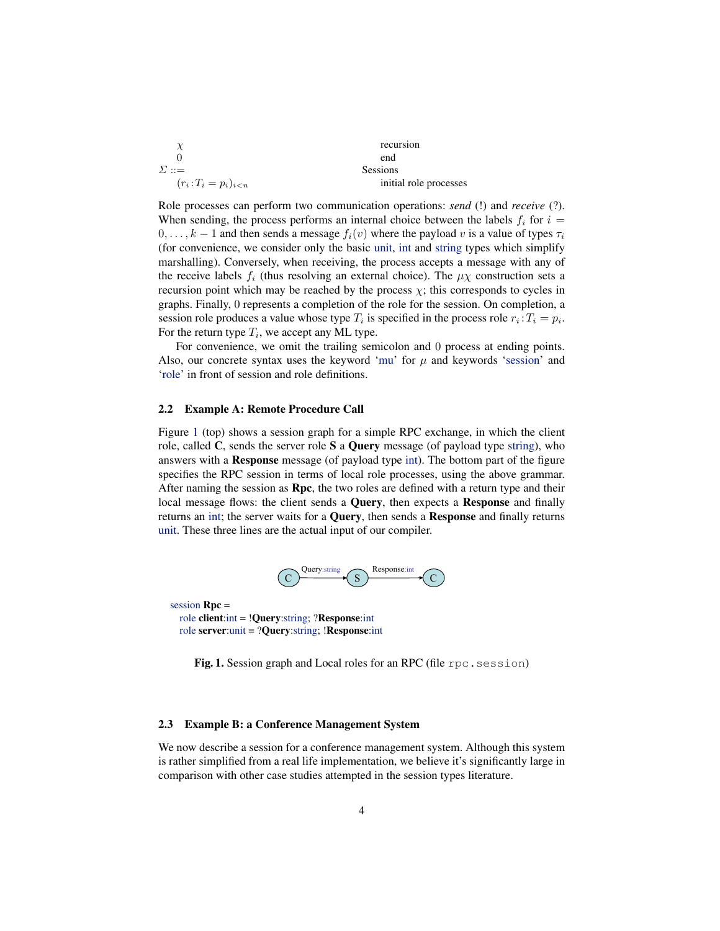|                    | recursion              |  |
|--------------------|------------------------|--|
|                    | end                    |  |
| $\Sigma ::=$       | Sessions               |  |
| $(r_i:T_i=p_i)_{i$ | initial role processes |  |

Role processes can perform two communication operations: *send* (!) and *receive* (?). When sending, the process performs an internal choice between the labels  $f_i$  for  $i =$  $0, \ldots, k-1$  and then sends a message  $f_i(v)$  where the payload v is a value of types  $\tau_i$ (for convenience, we consider only the basic unit, int and string types which simplify marshalling). Conversely, when receiving, the process accepts a message with any of the receive labels  $f_i$  (thus resolving an external choice). The  $\mu\chi$  construction sets a recursion point which may be reached by the process  $\chi$ ; this corresponds to cycles in graphs. Finally, 0 represents a completion of the role for the session. On completion, a session role produces a value whose type  $T_i$  is specified in the process role  $r_i$ :  $T_i = p_i$ . For the return type  $T_i$ , we accept any ML type.

For convenience, we omit the trailing semicolon and 0 process at ending points. Also, our concrete syntax uses the keyword 'mu' for  $\mu$  and keywords 'session' and 'role' in front of session and role definitions.

#### 2.2 Example A: Remote Procedure Call

Figure [1](#page-3-0) (top) shows a session graph for a simple RPC exchange, in which the client role, called  $C$ , sends the server role  $S$  a Query message (of payload type string), who answers with a Response message (of payload type int). The bottom part of the figure specifies the RPC session in terms of local role processes, using the above grammar. After naming the session as **Rpc**, the two roles are defined with a return type and their local message flows: the client sends a **Query**, then expects a **Response** and finally returns an int; the server waits for a Query, then sends a Response and finally returns unit. These three lines are the actual input of our compiler.



session Rpc = role client:int = !Query:string; ?Response:int role server:unit = ?Query:string; !Response:int

<span id="page-3-0"></span>Fig. 1. Session graph and Local roles for an RPC (file rpc. session)

#### 2.3 Example B: a Conference Management System

We now describe a session for a conference management system. Although this system is rather simplified from a real life implementation, we believe it's significantly large in comparison with other case studies attempted in the session types literature.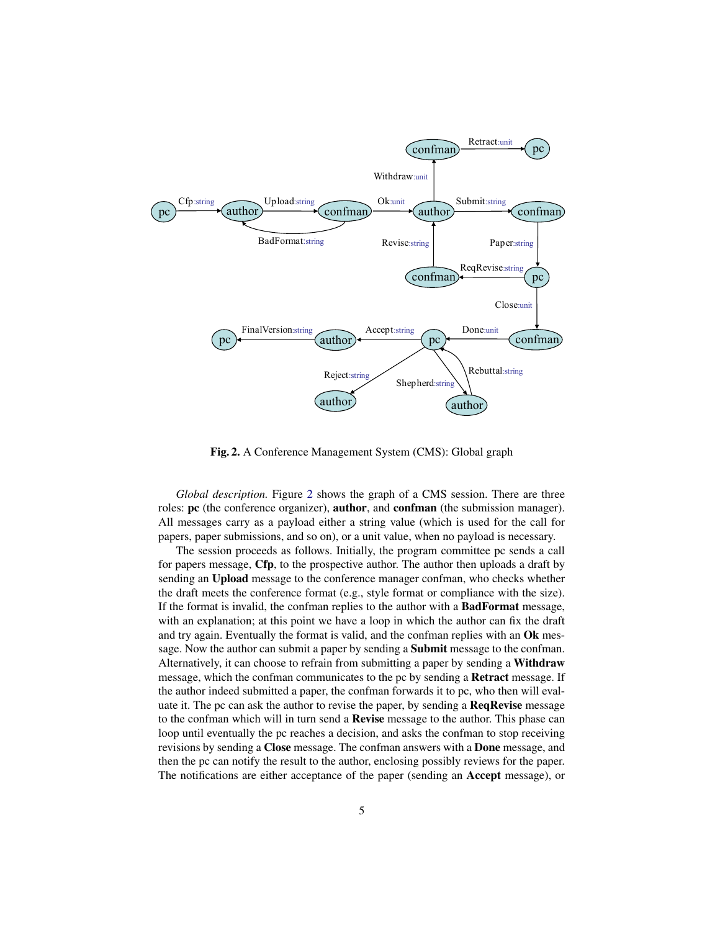

<span id="page-4-0"></span>Fig. 2. A Conference Management System (CMS): Global graph

*Global description.* Figure [2](#page-4-0) shows the graph of a CMS session. There are three roles: pc (the conference organizer), **author**, and **confman** (the submission manager). All messages carry as a payload either a string value (which is used for the call for papers, paper submissions, and so on), or a unit value, when no payload is necessary.

The session proceeds as follows. Initially, the program committee pc sends a call for papers message, Cfp, to the prospective author. The author then uploads a draft by sending an Upload message to the conference manager confman, who checks whether the draft meets the conference format (e.g., style format or compliance with the size). If the format is invalid, the confman replies to the author with a BadFormat message, with an explanation; at this point we have a loop in which the author can fix the draft and try again. Eventually the format is valid, and the confman replies with an Ok message. Now the author can submit a paper by sending a **Submit** message to the confman. Alternatively, it can choose to refrain from submitting a paper by sending a Withdraw message, which the confman communicates to the pc by sending a Retract message. If the author indeed submitted a paper, the confman forwards it to pc, who then will evaluate it. The pc can ask the author to revise the paper, by sending a ReqRevise message to the confman which will in turn send a Revise message to the author. This phase can loop until eventually the pc reaches a decision, and asks the confman to stop receiving revisions by sending a Close message. The confman answers with a Done message, and then the pc can notify the result to the author, enclosing possibly reviews for the paper. The notifications are either acceptance of the paper (sending an Accept message), or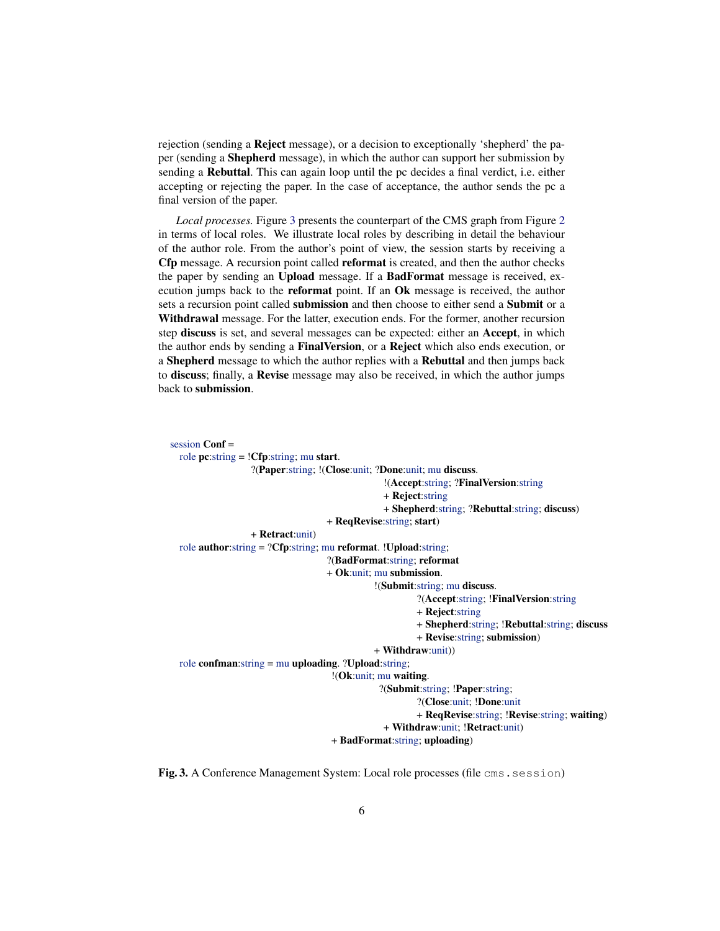rejection (sending a Reject message), or a decision to exceptionally 'shepherd' the paper (sending a Shepherd message), in which the author can support her submission by sending a Rebuttal. This can again loop until the pc decides a final verdict, i.e. either accepting or rejecting the paper. In the case of acceptance, the author sends the pc a final version of the paper.

*Local processes.* Figure [3](#page-5-0) presents the counterpart of the CMS graph from Figure [2](#page-4-0) in terms of local roles. We illustrate local roles by describing in detail the behaviour of the author role. From the author's point of view, the session starts by receiving a Cfp message. A recursion point called reformat is created, and then the author checks the paper by sending an Upload message. If a BadFormat message is received, execution jumps back to the reformat point. If an Ok message is received, the author sets a recursion point called submission and then choose to either send a Submit or a Withdrawal message. For the latter, execution ends. For the former, another recursion step discuss is set, and several messages can be expected: either an Accept, in which the author ends by sending a FinalVersion, or a Reject which also ends execution, or a Shepherd message to which the author replies with a Rebuttal and then jumps back to discuss; finally, a Revise message may also be received, in which the author jumps back to submission.

session Conf = role **pc**:string =  $|Cf$ **p**:string; mu start. ?(Paper:string; !(Close:unit; ?Done:unit; mu discuss. !(Accept:string; ?FinalVersion:string + Reject:string + Shepherd:string; ?Rebuttal:string; discuss) + ReqRevise:string; start) + Retract:unit) role author:string = ?Cfp:string; mu reformat. !Upload:string; ?(BadFormat:string; reformat + Ok:unit; mu submission. !(Submit:string; mu discuss. ?(Accept:string; !FinalVersion:string + Reject:string + Shepherd:string; !Rebuttal:string; discuss + Revise:string; submission) + Withdraw:unit)) role confman:  $string = mu$  uploading. ?Upload: string; !(Ok:unit; mu waiting. ?(Submit:string; !Paper:string; ?(Close:unit; !Done:unit + ReqRevise:string; !Revise:string; waiting) + Withdraw:unit; !Retract:unit) + BadFormat:string; uploading)

<span id="page-5-0"></span>Fig. 3. A Conference Management System: Local role processes (file cms. session)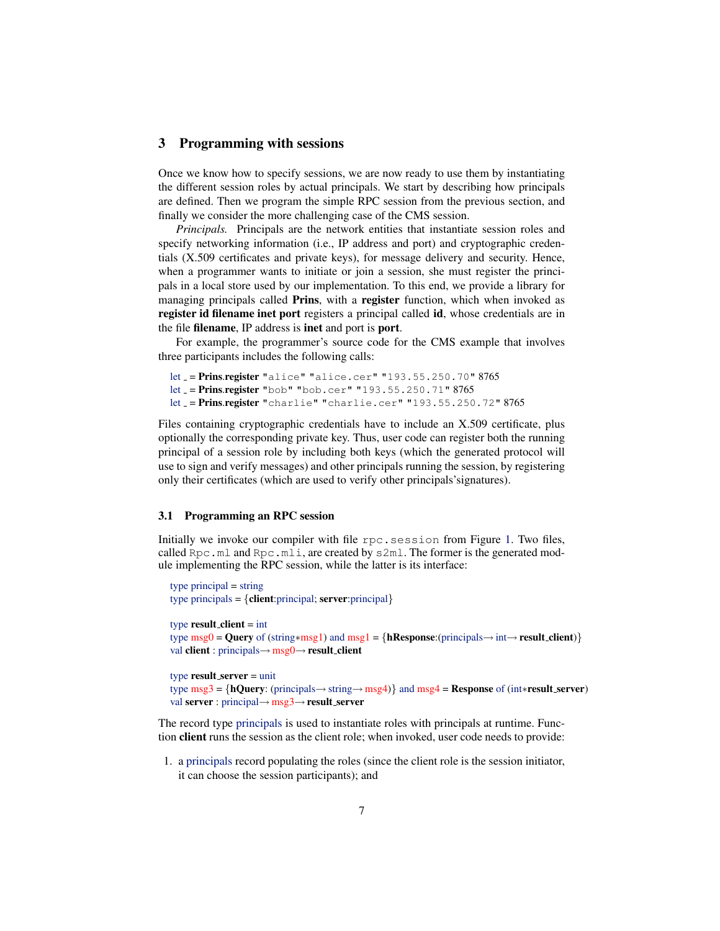#### <span id="page-6-0"></span>3 Programming with sessions

Once we know how to specify sessions, we are now ready to use them by instantiating the different session roles by actual principals. We start by describing how principals are defined. Then we program the simple RPC session from the previous section, and finally we consider the more challenging case of the CMS session.

*Principals.* Principals are the network entities that instantiate session roles and specify networking information (i.e., IP address and port) and cryptographic credentials (X.509 certificates and private keys), for message delivery and security. Hence, when a programmer wants to initiate or join a session, she must register the principals in a local store used by our implementation. To this end, we provide a library for managing principals called Prins, with a register function, which when invoked as register id filename inet port registers a principal called id, whose credentials are in the file filename, IP address is inet and port is port.

For example, the programmer's source code for the CMS example that involves three participants includes the following calls:

```
let = Prins.register "alice" "alice.cer" "193.55.250.70" 8765
let = Prins.register "bob" "bob.cer" "193.55.250.71" 8765
let = Prins.register "charlie" "charlie.cer" "193.55.250.72" 8765
```
Files containing cryptographic credentials have to include an X.509 certificate, plus optionally the corresponding private key. Thus, user code can register both the running principal of a session role by including both keys (which the generated protocol will use to sign and verify messages) and other principals running the session, by registering only their certificates (which are used to verify other principals'signatures).

## 3.1 Programming an RPC session

Initially we invoke our compiler with file rpc. session from Figure [1.](#page-3-0) Two files, called Rpc.ml and Rpc.mli, are created by  $s2m$ . The former is the generated module implementing the RPC session, while the latter is its interface:

```
type principal = stringtype principals = {client:principal; server: principal}type result-client = int
type \text{msg0} = \text{Query of (string*msg1)} and \text{msg1} = \{\text{hResponse: (principals} \rightarrow \text{int} \rightarrow \text{result}\_\text{client}\}\val client : principals\rightarrow msg0 \rightarrow result client
type result\_server = unittype \text{msg3} = \{\text{hQuery: (principals} \rightarrow \text{string} \rightarrow \text{msg4})\} and \text{msg4} = \text{Response of (int*result\_server)}
```

```
val server : principal→ msg3→ result server
```
The record type principals is used to instantiate roles with principals at runtime. Function client runs the session as the client role; when invoked, user code needs to provide:

1. a principals record populating the roles (since the client role is the session initiator, it can choose the session participants); and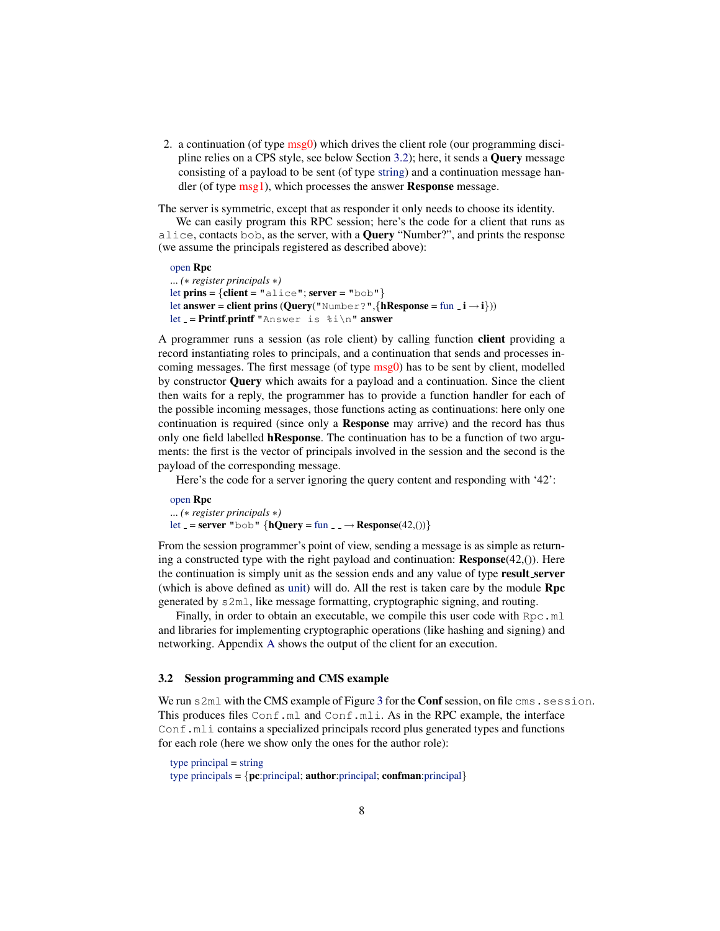2. a continuation (of type msg0) which drives the client role (our programming discipline relies on a CPS style, see below Section [3.2\)](#page-7-0); here, it sends a Query message consisting of a payload to be sent (of type string) and a continuation message handler (of type  $msg1$ ), which processes the answer **Response** message.

The server is symmetric, except that as responder it only needs to choose its identity.

We can easily program this RPC session; here's the code for a client that runs as alice, contacts bob, as the server, with a Query "Number?", and prints the response (we assume the principals registered as described above):

```
open Rpc
... (∗ register principals ∗)
let prins = {client = "alice"; server = "bob"}
let answer = client prins (Query("Number?",{hResponse = fun _ i → i}))
let _ = Printf.printf "Answer is \iotai\n" answer
```
A programmer runs a session (as role client) by calling function client providing a record instantiating roles to principals, and a continuation that sends and processes incoming messages. The first message (of type msg0) has to be sent by client, modelled by constructor Query which awaits for a payload and a continuation. Since the client then waits for a reply, the programmer has to provide a function handler for each of the possible incoming messages, those functions acting as continuations: here only one continuation is required (since only a Response may arrive) and the record has thus only one field labelled hResponse. The continuation has to be a function of two arguments: the first is the vector of principals involved in the session and the second is the payload of the corresponding message.

Here's the code for a server ignoring the query content and responding with '42':

```
open Rpc
... (∗ register principals ∗)
let = server "bob" {hQuery = fun = \rightarrow Response(42,())}
```
From the session programmer's point of view, sending a message is as simple as returning a constructed type with the right payload and continuation: Response(42,()). Here the continuation is simply unit as the session ends and any value of type result server (which is above defined as unit) will do. All the rest is taken care by the module Rpc generated by s2ml, like message formatting, cryptographic signing, and routing.

Finally, in order to obtain an executable, we compile this user code with Rpc.ml and libraries for implementing cryptographic operations (like hashing and signing) and networking. Appendix [A](#page-16-8) shows the output of the client for an execution.

#### <span id="page-7-0"></span>3.2 Session programming and CMS example

We run s2ml with the CMS example of Figure [3](#page-5-0) for the **Conf** session, on file cms. session. This produces files Conf.ml and Conf.mli. As in the RPC example, the interface Conf.mli contains a specialized principals record plus generated types and functions for each role (here we show only the ones for the author role):

```
type principal = string
type principals = {pc:principal; author:principal; confman:principal}
```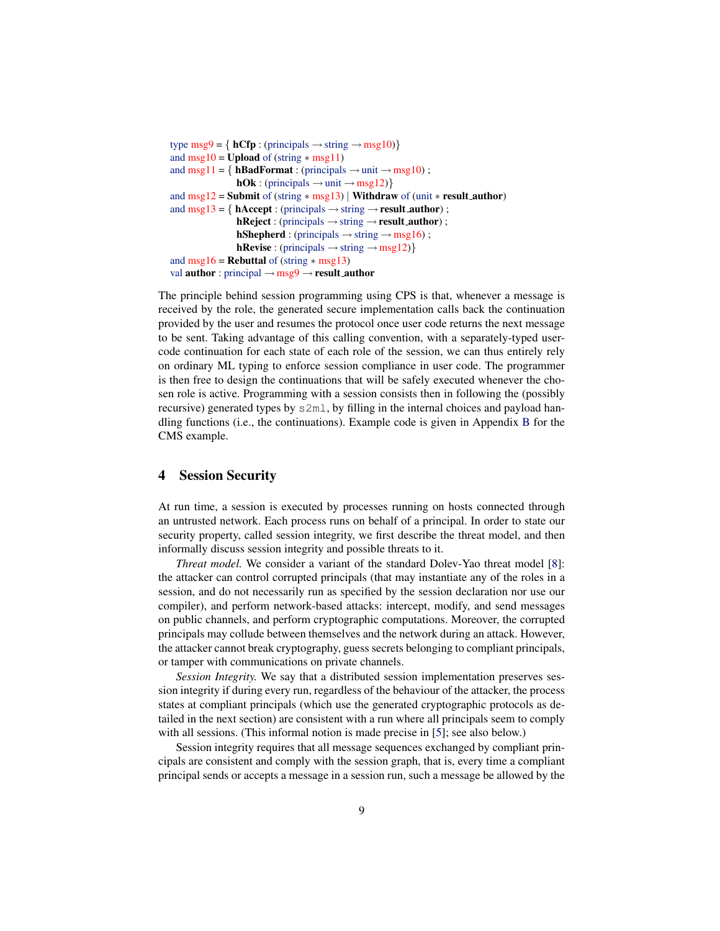```
type \text{msg9} = \{ \text{ hCfp} : (\text{principals} \rightarrow \text{string} \rightarrow \text{msg10}) \}and msg10 = Upload of (string * msg11)
and msg11 = { hBadFormat : (principals \rightarrow unit \rightarrow msg10) ;
                    hOk : (principals \rightarrow unit \rightarrow msg12)and msg12 = \text{Submit of (string } * msg13) | \text{Without of (unit } * \text{ result}_\text{author})and msg13 = \{ hAccept : (principals \rightarrow string \rightarrow result.author) ;hReject : (principals \rightarrow string \rightarrow result_author);
                    hShepherd : (principals \rightarrow string \rightarrow msg16);
                    hRevise : (principals \rightarrow string \rightarrow msg12)}
and msg16 = Rebuttal of (string * msg13)
val author : principal \rightarrow msg9 \rightarrow result author
```
The principle behind session programming using CPS is that, whenever a message is received by the role, the generated secure implementation calls back the continuation provided by the user and resumes the protocol once user code returns the next message to be sent. Taking advantage of this calling convention, with a separately-typed usercode continuation for each state of each role of the session, we can thus entirely rely on ordinary ML typing to enforce session compliance in user code. The programmer is then free to design the continuations that will be safely executed whenever the chosen role is active. Programming with a session consists then in following the (possibly recursive) generated types by s2ml, by filling in the internal choices and payload handling functions (i.e., the continuations). Example code is given in Appendix [B](#page-17-0) for the CMS example.

### <span id="page-8-0"></span>4 Session Security

At run time, a session is executed by processes running on hosts connected through an untrusted network. Each process runs on behalf of a principal. In order to state our security property, called session integrity, we first describe the threat model, and then informally discuss session integrity and possible threats to it.

*Threat model.* We consider a variant of the standard Dolev-Yao threat model [\[8\]](#page-16-10): the attacker can control corrupted principals (that may instantiate any of the roles in a session, and do not necessarily run as specified by the session declaration nor use our compiler), and perform network-based attacks: intercept, modify, and send messages on public channels, and perform cryptographic computations. Moreover, the corrupted principals may collude between themselves and the network during an attack. However, the attacker cannot break cryptography, guess secrets belonging to compliant principals, or tamper with communications on private channels.

*Session Integrity.* We say that a distributed session implementation preserves session integrity if during every run, regardless of the behaviour of the attacker, the process states at compliant principals (which use the generated cryptographic protocols as detailed in the next section) are consistent with a run where all principals seem to comply with all sessions. (This informal notion is made precise in [\[5\]](#page-16-4); see also below.)

Session integrity requires that all message sequences exchanged by compliant principals are consistent and comply with the session graph, that is, every time a compliant principal sends or accepts a message in a session run, such a message be allowed by the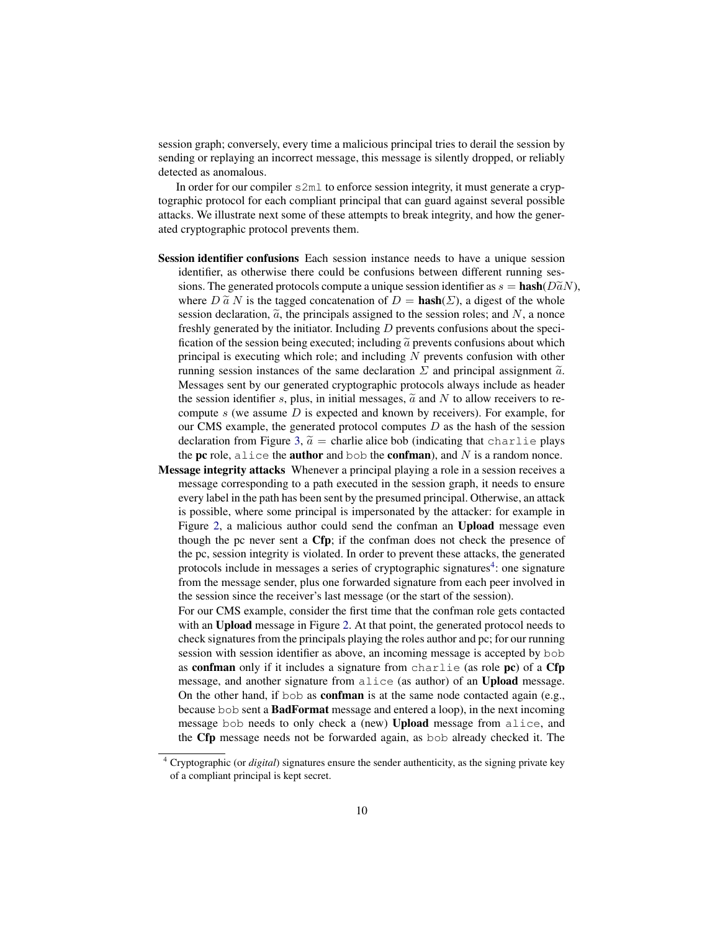session graph; conversely, every time a malicious principal tries to derail the session by sending or replaying an incorrect message, this message is silently dropped, or reliably detected as anomalous.

In order for our compiler s2ml to enforce session integrity, it must generate a cryptographic protocol for each compliant principal that can guard against several possible attacks. We illustrate next some of these attempts to break integrity, and how the generated cryptographic protocol prevents them.

- Session identifier confusions Each session instance needs to have a unique session identifier, as otherwise there could be confusions between different running sessions. The generated protocols compute a unique session identifier as  $s = \textbf{hash}(D\tilde{a}N)$ , where  $D \tilde{a} N$  is the tagged concatenation of  $D = \textbf{hash}(\Sigma)$ , a digest of the whole session declaration,  $\tilde{a}$ , the principals assigned to the session roles; and N, a nonce freshly generated by the initiator. Including  $D$  prevents confusions about the specification of the session being executed; including  $\tilde{a}$  prevents confusions about which principal is executing which role; and including  $N$  prevents confusion with other running session instances of the same declaration  $\Sigma$  and principal assignment  $\tilde{a}$ . Messages sent by our generated cryptographic protocols always include as header the session identifier s, plus, in initial messages,  $\tilde{a}$  and N to allow receivers to recompute  $s$  (we assume  $D$  is expected and known by receivers). For example, for our CMS example, the generated protocol computes  $D$  as the hash of the session declaration from Figure [3,](#page-5-0)  $\tilde{a}$  = charlie alice bob (indicating that charlie plays the pc role, alice the author and bob the confman), and N is a random nonce.
- Message integrity attacks Whenever a principal playing a role in a session receives a message corresponding to a path executed in the session graph, it needs to ensure every label in the path has been sent by the presumed principal. Otherwise, an attack is possible, where some principal is impersonated by the attacker: for example in Figure [2,](#page-4-0) a malicious author could send the confman an Upload message even though the pc never sent a Cfp; if the confman does not check the presence of the pc, session integrity is violated. In order to prevent these attacks, the generated protocols include in messages a series of cryptographic signatures<sup>[4](#page-9-0)</sup>: one signature from the message sender, plus one forwarded signature from each peer involved in the session since the receiver's last message (or the start of the session).

For our CMS example, consider the first time that the confman role gets contacted with an Upload message in Figure [2.](#page-4-0) At that point, the generated protocol needs to check signatures from the principals playing the roles author and pc; for our running session with session identifier as above, an incoming message is accepted by bob as confman only if it includes a signature from charlie (as role pc) of a Cfp message, and another signature from alice (as author) of an Upload message. On the other hand, if bob as **confinan** is at the same node contacted again (e.g., because bob sent a BadFormat message and entered a loop), in the next incoming message bob needs to only check a (new) Upload message from alice, and the Cfp message needs not be forwarded again, as bob already checked it. The

<span id="page-9-0"></span><sup>4</sup> Cryptographic (or *digital*) signatures ensure the sender authenticity, as the signing private key of a compliant principal is kept secret.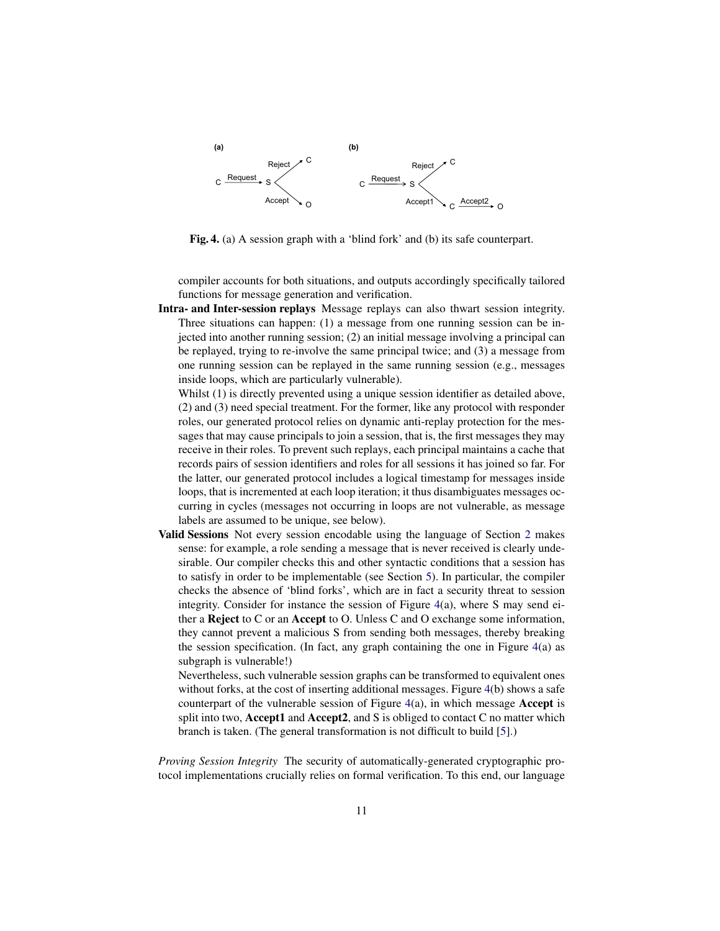

<span id="page-10-0"></span>Fig. 4. (a) A session graph with a 'blind fork' and (b) its safe counterpart.

compiler accounts for both situations, and outputs accordingly specifically tailored functions for message generation and verification.

Intra- and Inter-session replays Message replays can also thwart session integrity. Three situations can happen: (1) a message from one running session can be injected into another running session; (2) an initial message involving a principal can be replayed, trying to re-involve the same principal twice; and (3) a message from one running session can be replayed in the same running session (e.g., messages inside loops, which are particularly vulnerable).

Whilst (1) is directly prevented using a unique session identifier as detailed above, (2) and (3) need special treatment. For the former, like any protocol with responder roles, our generated protocol relies on dynamic anti-replay protection for the messages that may cause principals to join a session, that is, the first messages they may receive in their roles. To prevent such replays, each principal maintains a cache that records pairs of session identifiers and roles for all sessions it has joined so far. For the latter, our generated protocol includes a logical timestamp for messages inside loops, that is incremented at each loop iteration; it thus disambiguates messages occurring in cycles (messages not occurring in loops are not vulnerable, as message labels are assumed to be unique, see below).

Valid Sessions Not every session encodable using the language of Section [2](#page-2-0) makes sense: for example, a role sending a message that is never received is clearly undesirable. Our compiler checks this and other syntactic conditions that a session has to satisfy in order to be implementable (see Section [5\)](#page-11-1). In particular, the compiler checks the absence of 'blind forks', which are in fact a security threat to session integrity. Consider for instance the session of Figure [4\(](#page-10-0)a), where S may send either a Reject to C or an Accept to O. Unless C and O exchange some information, they cannot prevent a malicious S from sending both messages, thereby breaking the session specification. (In fact, any graph containing the one in Figure  $4(a)$  $4(a)$  as subgraph is vulnerable!)

Nevertheless, such vulnerable session graphs can be transformed to equivalent ones without forks, at the cost of inserting additional messages. Figure [4\(](#page-10-0)b) shows a safe counterpart of the vulnerable session of Figure [4\(](#page-10-0)a), in which message Accept is split into two, Accept1 and Accept2, and S is obliged to contact C no matter which branch is taken. (The general transformation is not difficult to build [\[5\]](#page-16-4).)

*Proving Session Integrity* The security of automatically-generated cryptographic protocol implementations crucially relies on formal verification. To this end, our language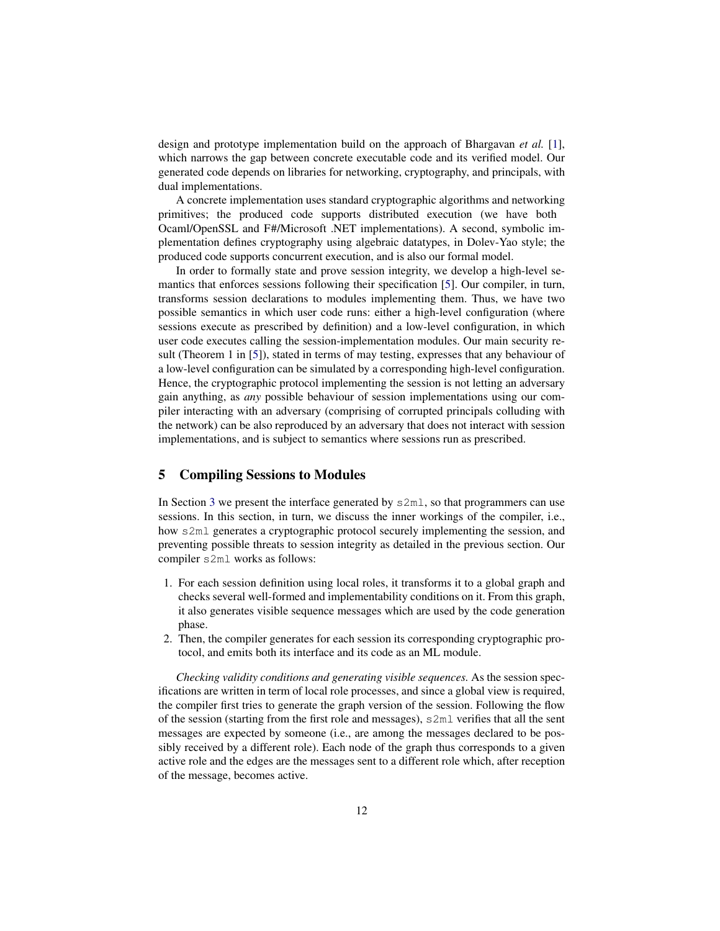design and prototype implementation build on the approach of Bhargavan *et al.* [\[1\]](#page-15-4), which narrows the gap between concrete executable code and its verified model. Our generated code depends on libraries for networking, cryptography, and principals, with dual implementations.

A concrete implementation uses standard cryptographic algorithms and networking primitives; the produced code supports distributed execution (we have both Ocaml/OpenSSL and F#/Microsoft .NET implementations). A second, symbolic implementation defines cryptography using algebraic datatypes, in Dolev-Yao style; the produced code supports concurrent execution, and is also our formal model.

In order to formally state and prove session integrity, we develop a high-level semantics that enforces sessions following their specification [\[5\]](#page-16-4). Our compiler, in turn, transforms session declarations to modules implementing them. Thus, we have two possible semantics in which user code runs: either a high-level configuration (where sessions execute as prescribed by definition) and a low-level configuration, in which user code executes calling the session-implementation modules. Our main security result (Theorem 1 in [\[5\]](#page-16-4)), stated in terms of may testing, expresses that any behaviour of a low-level configuration can be simulated by a corresponding high-level configuration. Hence, the cryptographic protocol implementing the session is not letting an adversary gain anything, as *any* possible behaviour of session implementations using our compiler interacting with an adversary (comprising of corrupted principals colluding with the network) can be also reproduced by an adversary that does not interact with session implementations, and is subject to semantics where sessions run as prescribed.

### <span id="page-11-0"></span>5 Compiling Sessions to Modules

In Section [3](#page-6-0) we present the interface generated by  $s2m$ , so that programmers can use sessions. In this section, in turn, we discuss the inner workings of the compiler, i.e., how s2ml generates a cryptographic protocol securely implementing the session, and preventing possible threats to session integrity as detailed in the previous section. Our compiler s2ml works as follows:

- 1. For each session definition using local roles, it transforms it to a global graph and checks several well-formed and implementability conditions on it. From this graph, it also generates visible sequence messages which are used by the code generation phase.
- <span id="page-11-1"></span>2. Then, the compiler generates for each session its corresponding cryptographic protocol, and emits both its interface and its code as an ML module.

*Checking validity conditions and generating visible sequences.* As the session specifications are written in term of local role processes, and since a global view is required, the compiler first tries to generate the graph version of the session. Following the flow of the session (starting from the first role and messages),  $\epsilon$  2ml verifies that all the sent messages are expected by someone (i.e., are among the messages declared to be possibly received by a different role). Each node of the graph thus corresponds to a given active role and the edges are the messages sent to a different role which, after reception of the message, becomes active.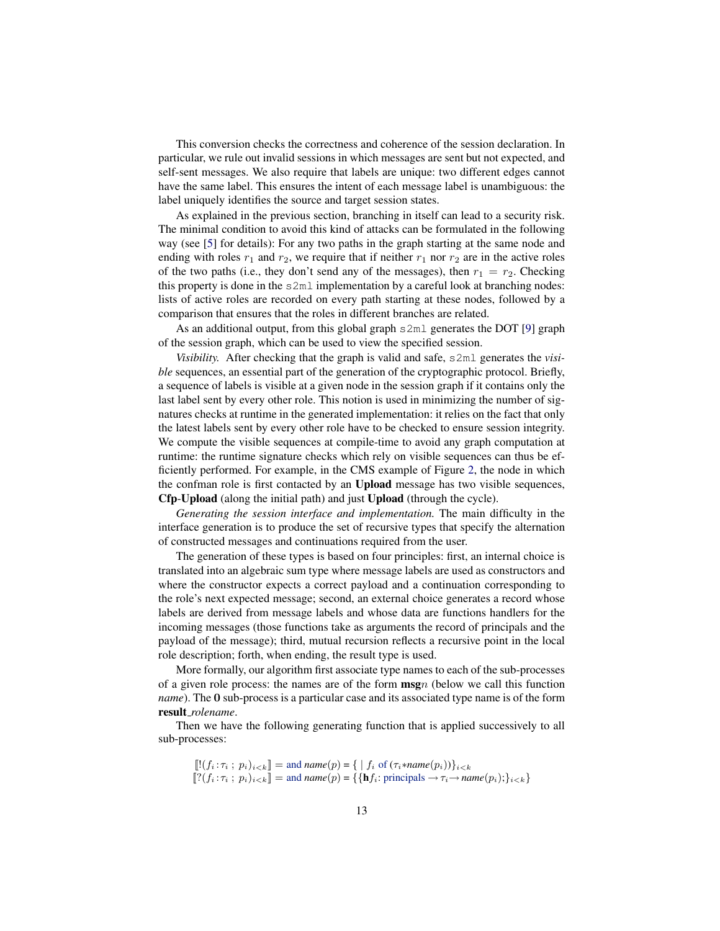This conversion checks the correctness and coherence of the session declaration. In particular, we rule out invalid sessions in which messages are sent but not expected, and self-sent messages. We also require that labels are unique: two different edges cannot have the same label. This ensures the intent of each message label is unambiguous: the label uniquely identifies the source and target session states.

As explained in the previous section, branching in itself can lead to a security risk. The minimal condition to avoid this kind of attacks can be formulated in the following way (see [\[5\]](#page-16-4) for details): For any two paths in the graph starting at the same node and ending with roles  $r_1$  and  $r_2$ , we require that if neither  $r_1$  nor  $r_2$  are in the active roles of the two paths (i.e., they don't send any of the messages), then  $r_1 = r_2$ . Checking this property is done in the s2ml implementation by a careful look at branching nodes: lists of active roles are recorded on every path starting at these nodes, followed by a comparison that ensures that the roles in different branches are related.

As an additional output, from this global graph s2ml generates the DOT [\[9\]](#page-16-11) graph of the session graph, which can be used to view the specified session.

*Visibility.* After checking that the graph is valid and safe, s2ml generates the *visible* sequences, an essential part of the generation of the cryptographic protocol. Briefly, a sequence of labels is visible at a given node in the session graph if it contains only the last label sent by every other role. This notion is used in minimizing the number of signatures checks at runtime in the generated implementation: it relies on the fact that only the latest labels sent by every other role have to be checked to ensure session integrity. We compute the visible sequences at compile-time to avoid any graph computation at runtime: the runtime signature checks which rely on visible sequences can thus be efficiently performed. For example, in the CMS example of Figure [2,](#page-4-0) the node in which the confman role is first contacted by an Upload message has two visible sequences, Cfp-Upload (along the initial path) and just Upload (through the cycle).

*Generating the session interface and implementation.* The main difficulty in the interface generation is to produce the set of recursive types that specify the alternation of constructed messages and continuations required from the user.

The generation of these types is based on four principles: first, an internal choice is translated into an algebraic sum type where message labels are used as constructors and where the constructor expects a correct payload and a continuation corresponding to the role's next expected message; second, an external choice generates a record whose labels are derived from message labels and whose data are functions handlers for the incoming messages (those functions take as arguments the record of principals and the payload of the message); third, mutual recursion reflects a recursive point in the local role description; forth, when ending, the result type is used.

More formally, our algorithm first associate type names to each of the sub-processes of a given role process: the names are of the form  $\text{msg}_n$  (below we call this function *name*). The 0 sub-process is a particular case and its associated type name is of the form result *rolename*.

Then we have the following generating function that is applied successively to all sub-processes:

$$
[[!(f_i:\tau_i; p_i)_{i < k}] = \text{and name}(p) = { | f_i \text{ of } (\tau_i * name(p_i)) \}_{i < k}
$$
  

$$
[[!(f_i:\tau_i; p_i)_{i < k}] = \text{and name}(p) = { \{ \mathbf{h}f_i : \text{principals } \rightarrow \tau_i \rightarrow name(p_i); \}_{i < k} \}
$$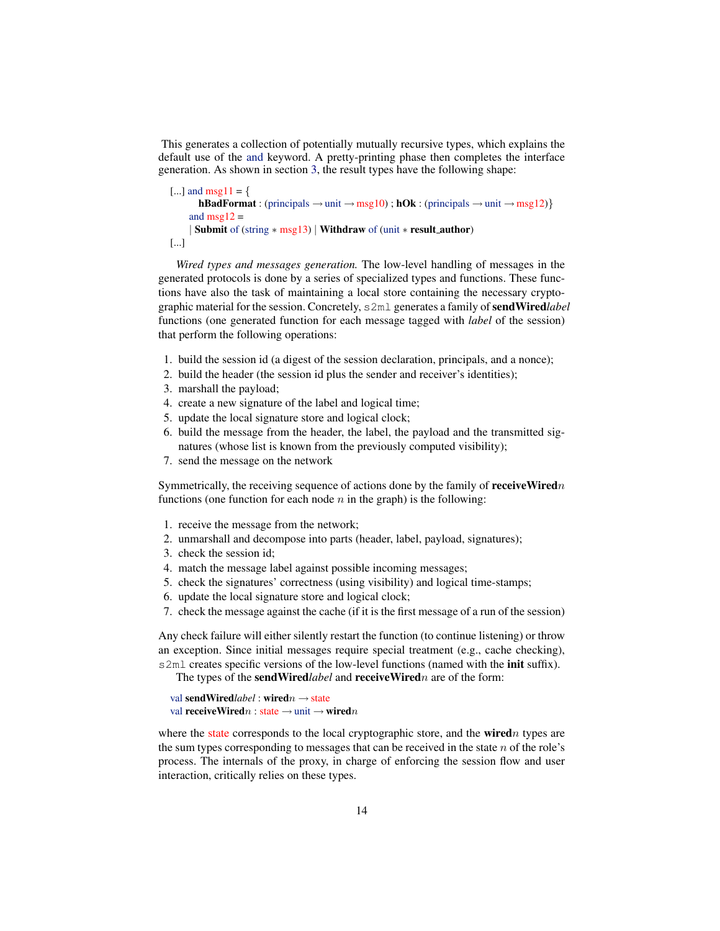This generates a collection of potentially mutually recursive types, which explains the default use of the and keyword. A pretty-printing phase then completes the interface generation. As shown in section [3,](#page-6-0) the result types have the following shape:

```
[...] and msg11 = \{hBadFormat : (principals \rightarrow unit \rightarrow msg10) ; hOk : (principals \rightarrow unit \rightarrow msg12)}
      and msg12 =| Submit of (string ∗ msg13) | Withdraw of (unit ∗ result author)
[...]
```
*Wired types and messages generation.* The low-level handling of messages in the generated protocols is done by a series of specialized types and functions. These functions have also the task of maintaining a local store containing the necessary cryptographic material for the session. Concretely,  $\le 2m$  generates a family of **send Wired** *label* functions (one generated function for each message tagged with *label* of the session) that perform the following operations:

- 1. build the session id (a digest of the session declaration, principals, and a nonce);
- 2. build the header (the session id plus the sender and receiver's identities);
- 3. marshall the payload;
- 4. create a new signature of the label and logical time;
- 5. update the local signature store and logical clock;
- 6. build the message from the header, the label, the payload and the transmitted signatures (whose list is known from the previously computed visibility);
- 7. send the message on the network

Symmetrically, the receiving sequence of actions done by the family of **receiveWired** $n$ functions (one function for each node  $n$  in the graph) is the following:

- 1. receive the message from the network;
- 2. unmarshall and decompose into parts (header, label, payload, signatures);
- 3. check the session id;
- 4. match the message label against possible incoming messages;
- 5. check the signatures' correctness (using visibility) and logical time-stamps;
- 6. update the local signature store and logical clock;
- 7. check the message against the cache (if it is the first message of a run of the session)

Any check failure will either silently restart the function (to continue listening) or throw an exception. Since initial messages require special treatment (e.g., cache checking), s2ml creates specific versions of the low-level functions (named with the **init** suffix).

The types of the sendWired*label* and receiveWiredn are of the form:

```
val sendWiredlabel : wiredn → state
val receiveWiredn: state \rightarrow unit \rightarrow wiredn
```
where the state corresponds to the local cryptographic store, and the wired $n$  types are the sum types corresponding to messages that can be received in the state  $n$  of the role's process. The internals of the proxy, in charge of enforcing the session flow and user interaction, critically relies on these types.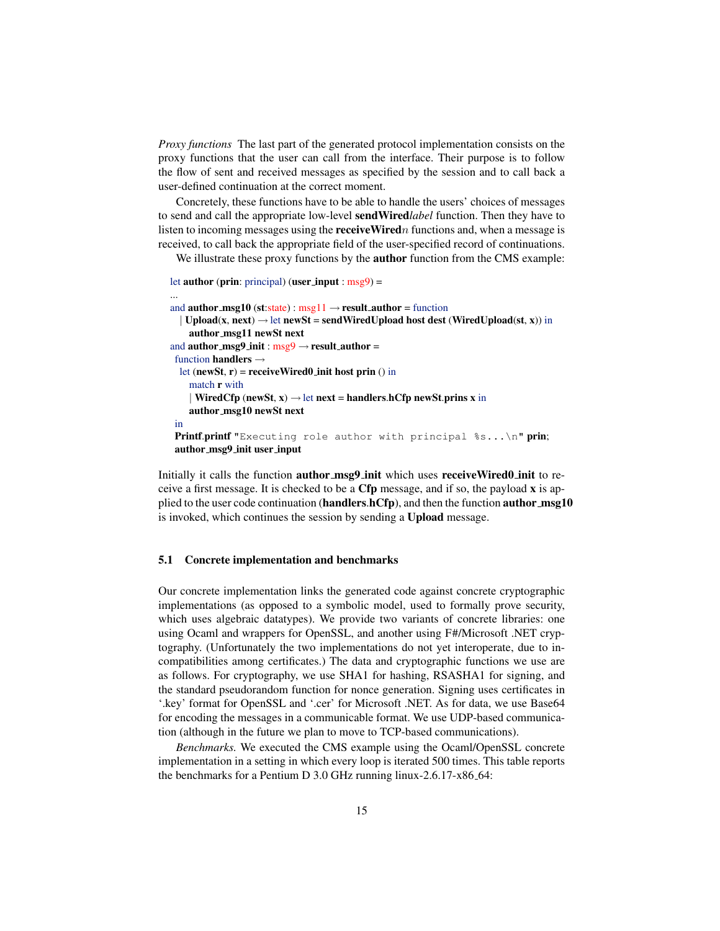*Proxy functions* The last part of the generated protocol implementation consists on the proxy functions that the user can call from the interface. Their purpose is to follow the flow of sent and received messages as specified by the session and to call back a user-defined continuation at the correct moment.

Concretely, these functions have to be able to handle the users' choices of messages to send and call the appropriate low-level sendWired*label* function. Then they have to listen to incoming messages using the **receiveWired** $n$  functions and, when a message is received, to call back the appropriate field of the user-specified record of continuations.

We illustrate these proxy functions by the **author** function from the CMS example:

```
let author (prin: principal) (user_input : msg9) =
...
and author_msg10 (st:state) : msg11 \rightarrow result_author = function
   Upload(x, next) \rightarrow let newSt = sendWiredUpload host dest (WiredUpload(st, x)) in
    author msg11 newSt next
and author_msg9_init : msg9 \rightarrow result_ author =
 function handlers \rightarrowlet (newSt, \mathbf{r}) = receiveWired0_init host prin () in
    match r with
    | WiredCfp (newSt, x) \rightarrow let next = handlers.hCfp newSt.prins x in
    author msg10 newSt next
 in
 Printf.printf "Executing role author with principal %s...\n" prin;
 author msg9 init user input
```
Initially it calls the function **author\_msg9\_init** which uses **receiveWired0\_init** to receive a first message. It is checked to be a  $Cfp$  message, and if so, the payload x is applied to the user code continuation (**handlers.hCfp**), and then the function **author msg10** is invoked, which continues the session by sending a Upload message.

#### 5.1 Concrete implementation and benchmarks

Our concrete implementation links the generated code against concrete cryptographic implementations (as opposed to a symbolic model, used to formally prove security, which uses algebraic datatypes). We provide two variants of concrete libraries: one using Ocaml and wrappers for OpenSSL, and another using F#/Microsoft .NET cryptography. (Unfortunately the two implementations do not yet interoperate, due to incompatibilities among certificates.) The data and cryptographic functions we use are as follows. For cryptography, we use SHA1 for hashing, RSASHA1 for signing, and the standard pseudorandom function for nonce generation. Signing uses certificates in '.key' format for OpenSSL and '.cer' for Microsoft .NET. As for data, we use Base64 for encoding the messages in a communicable format. We use UDP-based communication (although in the future we plan to move to TCP-based communications).

*Benchmarks.* We executed the CMS example using the Ocaml/OpenSSL concrete implementation in a setting in which every loop is iterated 500 times. This table reports the benchmarks for a Pentium D 3.0 GHz running linux-2.6.17-x86.64: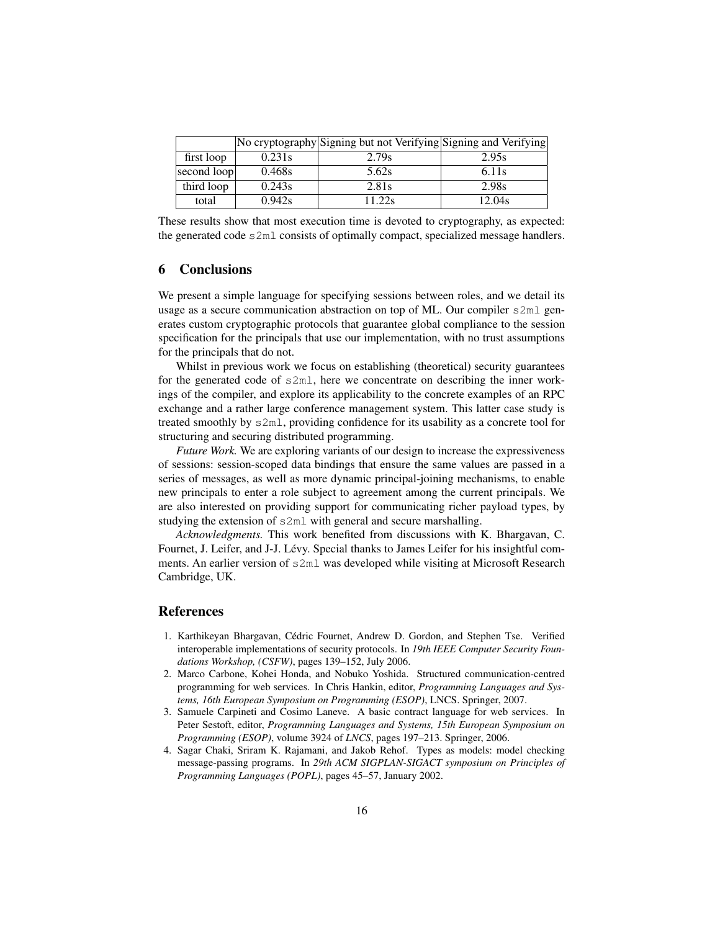|             |        | No cryptography Signing but not Verifying Signing and Verifying |                   |
|-------------|--------|-----------------------------------------------------------------|-------------------|
| first loop  | 0.231s | 2.79s                                                           | 2.95s             |
| second loop | 0.468s | 5.62s                                                           | 6.11s             |
| third loop  | 0.243s | 2.81s                                                           | 2.98 <sub>s</sub> |
| total       | 0.942s | 11.22s                                                          | 12.04s            |

These results show that most execution time is devoted to cryptography, as expected: the generated code s2ml consists of optimally compact, specialized message handlers.

#### <span id="page-15-3"></span>6 Conclusions

We present a simple language for specifying sessions between roles, and we detail its usage as a secure communication abstraction on top of ML. Our compiler s2ml generates custom cryptographic protocols that guarantee global compliance to the session specification for the principals that use our implementation, with no trust assumptions for the principals that do not.

Whilst in previous work we focus on establishing (theoretical) security guarantees for the generated code of s2ml, here we concentrate on describing the inner workings of the compiler, and explore its applicability to the concrete examples of an RPC exchange and a rather large conference management system. This latter case study is treated smoothly by s2ml, providing confidence for its usability as a concrete tool for structuring and securing distributed programming.

*Future Work.* We are exploring variants of our design to increase the expressiveness of sessions: session-scoped data bindings that ensure the same values are passed in a series of messages, as well as more dynamic principal-joining mechanisms, to enable new principals to enter a role subject to agreement among the current principals. We are also interested on providing support for communicating richer payload types, by studying the extension of s2ml with general and secure marshalling.

*Acknowledgments.* This work benefited from discussions with K. Bhargavan, C. Fournet, J. Leifer, and J-J. Lévy. Special thanks to James Leifer for his insightful comments. An earlier version of s2ml was developed while visiting at Microsoft Research Cambridge, UK.

#### References

- <span id="page-15-4"></span>1. Karthikeyan Bhargavan, Cedric Fournet, Andrew D. Gordon, and Stephen Tse. Verified ´ interoperable implementations of security protocols. In *19th IEEE Computer Security Foundations Workshop, (CSFW)*, pages 139–152, July 2006.
- <span id="page-15-0"></span>2. Marco Carbone, Kohei Honda, and Nobuko Yoshida. Structured communication-centred programming for web services. In Chris Hankin, editor, *Programming Languages and Systems, 16th European Symposium on Programming (ESOP)*, LNCS. Springer, 2007.
- <span id="page-15-1"></span>3. Samuele Carpineti and Cosimo Laneve. A basic contract language for web services. In Peter Sestoft, editor, *Programming Languages and Systems, 15th European Symposium on Programming (ESOP)*, volume 3924 of *LNCS*, pages 197–213. Springer, 2006.
- <span id="page-15-2"></span>4. Sagar Chaki, Sriram K. Rajamani, and Jakob Rehof. Types as models: model checking message-passing programs. In *29th ACM SIGPLAN-SIGACT symposium on Principles of Programming Languages (POPL)*, pages 45–57, January 2002.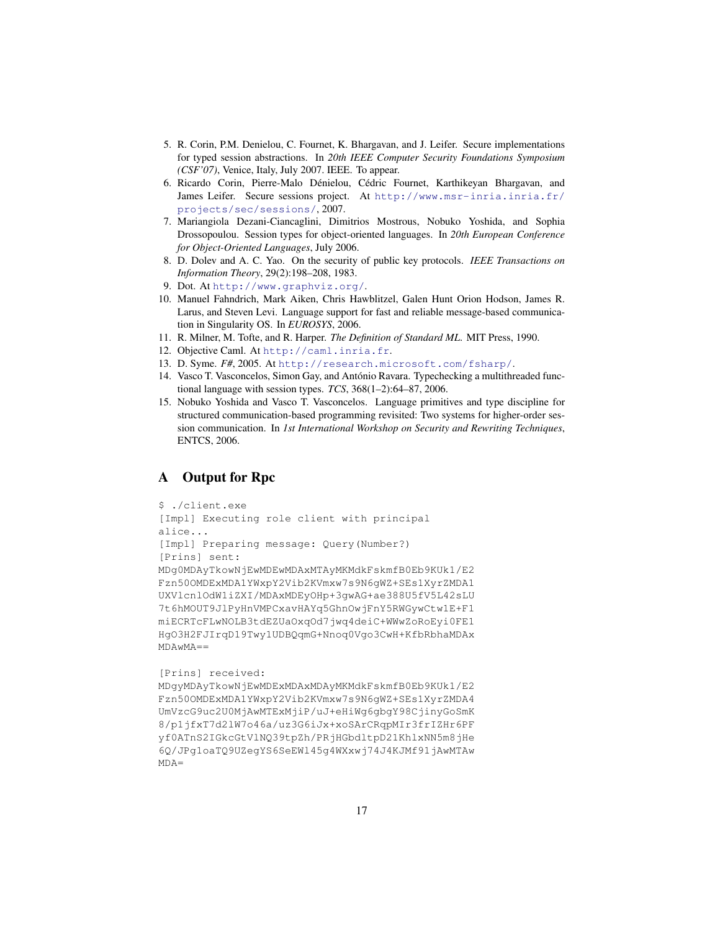- <span id="page-16-4"></span>5. R. Corin, P.M. Denielou, C. Fournet, K. Bhargavan, and J. Leifer. Secure implementations for typed session abstractions. In *20th IEEE Computer Security Foundations Symposium (CSF'07)*, Venice, Italy, July 2007. IEEE. To appear.
- <span id="page-16-9"></span>6. Ricardo Corin, Pierre-Malo Dénielou, Cédric Fournet, Karthikeyan Bhargavan, and James Leifer. Secure sessions project. At [http://www.msr-inria.inria.fr/](http://www.msr-inria.inria.fr/projects/sec/sessions/) [projects/sec/sessions/](http://www.msr-inria.inria.fr/projects/sec/sessions/), 2007.
- <span id="page-16-0"></span>7. Mariangiola Dezani-Ciancaglini, Dimitrios Mostrous, Nobuko Yoshida, and Sophia Drossopoulou. Session types for object-oriented languages. In *20th European Conference for Object-Oriented Languages*, July 2006.
- <span id="page-16-10"></span>8. D. Dolev and A. C. Yao. On the security of public key protocols. *IEEE Transactions on Information Theory*, 29(2):198–208, 1983.
- <span id="page-16-11"></span>9. Dot. At <http://www.graphviz.org/>.
- <span id="page-16-1"></span>10. Manuel Fahndrich, Mark Aiken, Chris Hawblitzel, Galen Hunt Orion Hodson, James R. Larus, and Steven Levi. Language support for fast and reliable message-based communication in Singularity OS. In *EUROSYS*, 2006.
- <span id="page-16-5"></span>11. R. Milner, M. Tofte, and R. Harper. *The Definition of Standard ML*. MIT Press, 1990.
- <span id="page-16-6"></span>12. Objective Caml. At <http://caml.inria.fr>.
- <span id="page-16-7"></span>13. D. Syme. *F#*, 2005. At <http://research.microsoft.com/fsharp/>.
- <span id="page-16-2"></span>14. Vasco T. Vasconcelos, Simon Gay, and Antonio Ravara. Typechecking a multithreaded func- ´ tional language with session types. *TCS*, 368(1–2):64–87, 2006.
- <span id="page-16-3"></span>15. Nobuko Yoshida and Vasco T. Vasconcelos. Language primitives and type discipline for structured communication-based programming revisited: Two systems for higher-order session communication. In *1st International Workshop on Security and Rewriting Techniques*, ENTCS, 2006.

### <span id="page-16-8"></span>A Output for Rpc

```
$ ./client.exe
[Impl] Executing role client with principal
alice...
[Impl] Preparing message: Query(Number?)
[Prins] sent:
MDg0MDAyTkowNjEwMDEwMDAxMTAyMKMdkFskmfB0Eb9KUk1/E2
Fzn50OMDExMDA1YWxpY2Vib2KVmxw7s9N6gWZ+SEs1XyrZMDA1
UXVlcnlOdW1iZXI/MDAxMDEyOHp+3gwAG+ae388U5fV5L42sLU
7t6hMOUT9JlPyHnVMPCxavHAYq5GhnOwjFnY5RWGywCtw1E+F1
miECRTcFLwNOLB3tdEZUaOxqOd7jwq4deiC+WWwZoRoEyi0FE1
HgO3H2FJIrqD19Twy1UDBQqmG+Nnoq0Vgo3CwH+KfbRbhaMDAx
MDAwMA==
[Prins] received:
```

```
MDgyMDAyTkowNjEwMDExMDAxMDAyMKMdkFskmfB0Eb9KUk1/E2
Fzn50OMDExMDA1YWxpY2Vib2KVmxw7s9N6gWZ+SEs1XyrZMDA4
UmVzcG9uc2U0MjAwMTExMjiP/uJ+eHiWg6gbgY98CjinyGoSmK
8/p1jfxT7d2lW7o46a/uz3G6iJx+xoSArCRqpMIr3frIZHr6PF
yf0ATnS2IGkcGtVlNQ39tpZh/PRjHGbdltpD21KhlxNN5m8jHe
6Q/JPg1oaTQ9UZegYS6SeEWl45g4WXxwj74J4KJMf91jAwMTAw
MDA=
```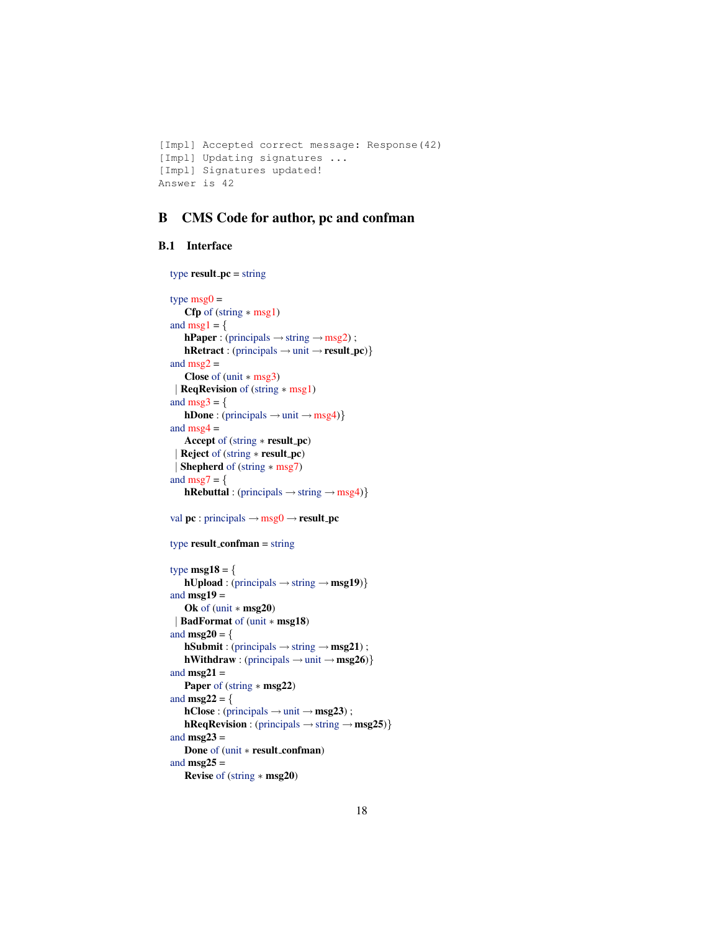```
[Impl] Accepted correct message: Response(42)
[Impl] Updating signatures ...
[Impl] Signatures updated!
Answer is 42
```
# <span id="page-17-0"></span>B CMS Code for author, pc and confman

### B.1 Interface

```
type result\_pc = stringtype \text{msg0} =Cfp of (string ∗ msg1)
and msg1 = \{hPaper : (principals \rightarrow string \rightarrow msg2);
    hRetract : (principals \rightarrow unit \rightarrow result\_pc)and msg2 =Close of (unit ∗ msg3)
 | ReqRevision of (string ∗ msg1)
and msg3 = \{hDone : (principals \rightarrow unit \rightarrow msg4)}
and msg4 =Accept of (string * result_pc)
   | Reject of (string ∗ result pc)
 | Shepherd of (string ∗ msg7)
and msg7 = \{hRebuttal : (principals \rightarrow string \rightarrow msg4)}
val pc: principals \rightarrow msg0 \rightarrow result_pc
type result_{\text{confman}} = \text{string}type msg18 = \{hUpdate: (principals \rightarrow string \rightarrow msg19)}
and msg19 =Ok of (unit ∗ msg20)
  | BadFormat of (unit ∗ msg18)
and msg20 = \{hSubmit : (principals \rightarrow string \rightarrow msg21);
   hWithdraw : (principals \rightarrow unit \rightarrow msg26)}
and msg21 =Paper of (string * msg22)
and \text{msg22} = \{hClose: (principals \rightarrow unit \rightarrow msg23);
    hReqRevision : (principals \rightarrow string \rightarrow msg25)}
and msg23 =Done of (unit * result_confman)
and msg25 =Revise of (string ∗ msg20)
```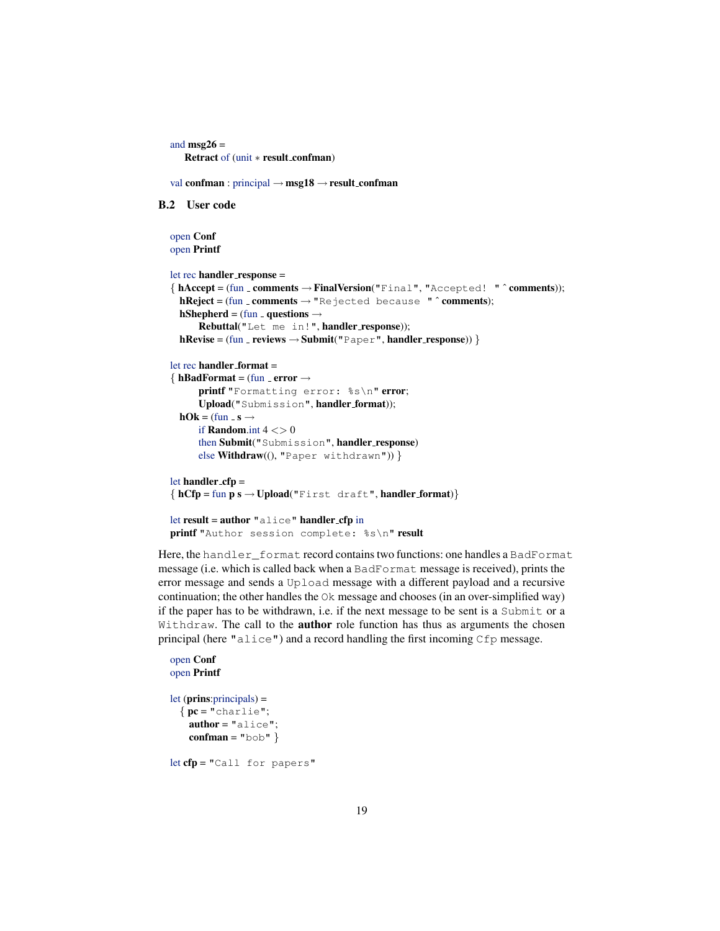```
and msg26 =Retract of (unit * result_confman)
```

```
val confman : principal \rightarrow msg18 \rightarrow result_confman
```

```
B.2 User code
```

```
open Conf
open Printf
let rec handler_response =
\{hAccept = (fun \_ comments \rightarrow FinalVersion("Final", "Accepted! " " comments));\}hReject = (fun_{\text{comments}} \rightarrow "Rejected because "`comments);hShepherd = (fun _ questions \rightarrowRebuttal("Let me in!", handler_response));
  hReviews = (fun = reviews \rightarrow Submit("Paper", handler\_response))let rec handler format =
\{ hBadFormat = (fun\_error \rightarrowprintf "Formatting error: %s\n" error;
      Upload("Submission", handler format));
  hOk = (fun_s \rightarrowif Random.int 4 < 0then Submit("Submission", handler_response)
      else Withdraw((), "Paper withdrawn"))}
let handler_cfp =
\{ hCfp = \text{fun } p s \rightarrow \text{Upload}("First draft", handler.format) \}let result = author "alice" handler_cfp in
```

```
printf "Author session complete: %s\n" result
```
Here, the handler\_format record contains two functions: one handles a BadFormat message (i.e. which is called back when a BadFormat message is received), prints the error message and sends a Upload message with a different payload and a recursive continuation; the other handles the Ok message and chooses (in an over-simplified way) if the paper has to be withdrawn, i.e. if the next message to be sent is a Submit or a Withdraw. The call to the **author** role function has thus as arguments the chosen principal (here "alice") and a record handling the first incoming Cfp message.

```
open Conf
open Printf
let (p<i>rins:principals</i>) ={pc} = "charlie";author = "alice";
    \text{confman} = "bob"}
```

```
let cfp = "Call for papers"
```